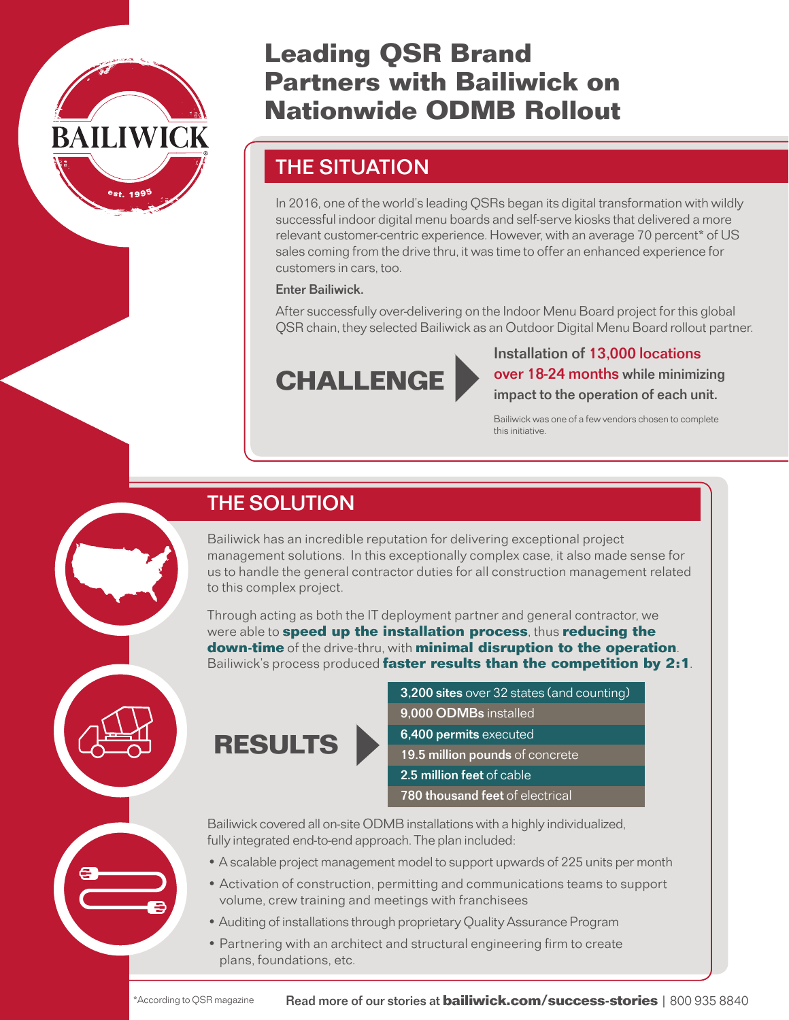

# Leading QSR Brand Partners with Bailiwick on Nationwide ODMB Rollout

# THE SITUATION

In 2016, one of the world's leading QSRs began its digital transformation with wildly successful indoor digital menu boards and self-serve kiosks that delivered a more relevant customer-centric experience. However, with an average 70 percent\* of US sales coming from the drive thru, it was time to offer an enhanced experience for customers in cars, too.

#### Enter Bailiwick.

After successfully over-delivering on the Indoor Menu Board project for this global QSR chain, they selected Bailiwick as an Outdoor Digital Menu Board rollout partner.



Installation of 13,000 locations CHALLENGE wer 18-24 months while minimizing<br>impact to the operation of each unit.

> Bailiwick was one of a few vendors chosen to complete this initiative.

# THE SOLUTION

Bailiwick has an incredible reputation for delivering exceptional project management solutions. In this exceptionally complex case, it also made sense for us to handle the general contractor duties for all construction management related to this complex project.

Through acting as both the IT deployment partner and general contractor, we were able to **speed up the installation process**, thus **reducing the** down-time of the drive-thru, with minimal disruption to the operation. Bailiwick's process produced faster results than the competition by 2:1.



RESULTS

- 3,200 sites over 32 states (and counting)
- 9,000 ODMBs installed
- 6,400 permits executed
- 19.5 million pounds of concrete
- 2.5 million feet of cable
- 780 thousand feet of electrical

Bailiwick covered all on-site ODMB installations with a highly individualized, fully integrated end-to-end approach. The plan included:

- •A scalable project management model to support upwards of 225 units per month
- Activation of construction, permitting and communications teams to support volume, crew training and meetings with franchisees
- •Auditing of installations through proprietary Quality Assurance Program
- Partnering with an architect and structural engineering firm to create plans, foundations, etc.